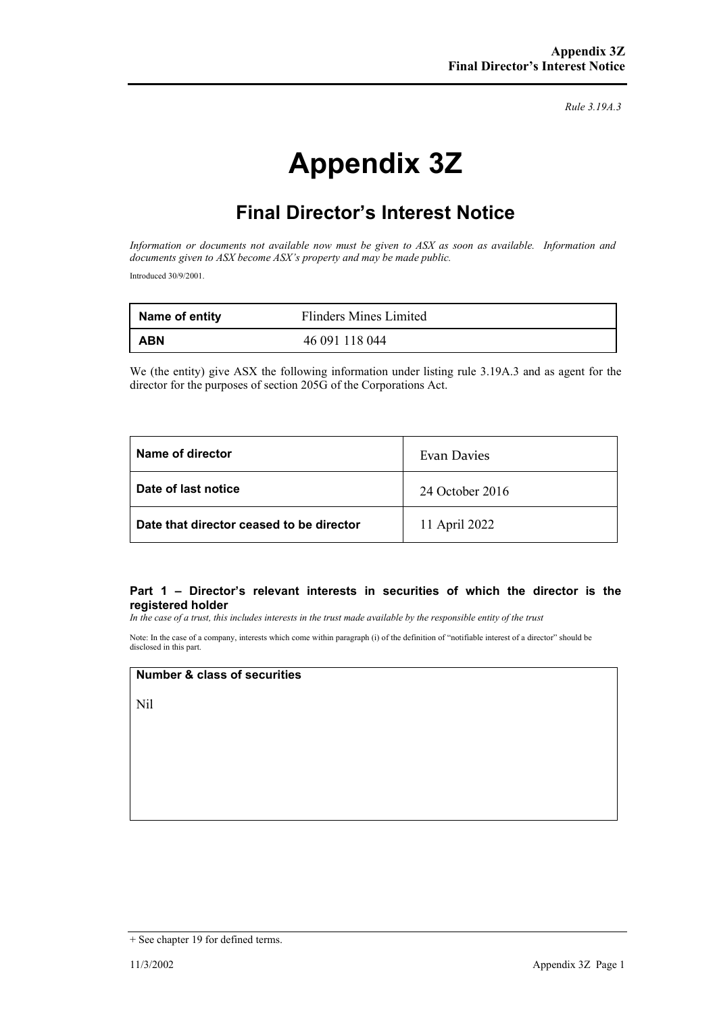*Rule 3.19A.3*

# **Appendix 3Z**

# **Final Director's Interest Notice**

*Information or documents not available now must be given to ASX as soon as available. Information and documents given to ASX become ASX's property and may be made public.* Introduced 30/9/2001.

| Name of entity | Flinders Mines Limited |
|----------------|------------------------|
| <b>ABN</b>     | 46 091 118 044         |

We (the entity) give ASX the following information under listing rule 3.19A.3 and as agent for the director for the purposes of section 205G of the Corporations Act.

| Name of director                         | Evan Davies     |
|------------------------------------------|-----------------|
| Date of last notice                      | 24 October 2016 |
| Date that director ceased to be director | 11 April 2022   |

#### **Part 1 – Director's relevant interests in securities of which the director is the registered holder**

*In the case of a trust, this includes interests in the trust made available by the responsible entity of the trust*

Note: In the case of a company, interests which come within paragraph (i) of the definition of "notifiable interest of a director" should be disclosed in this part.

### **Number & class of securities**

Nil

<sup>+</sup> See chapter 19 for defined terms.